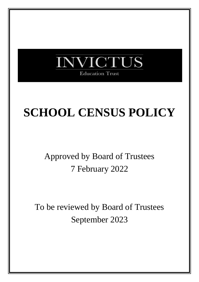

# **SCHOOL CENSUS POLICY**

# Approved by Board of Trustees 7 February 2022

To be reviewed by Board of Trustees September 2023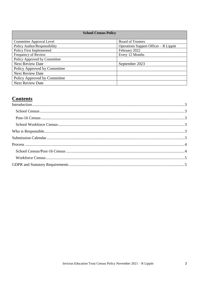#### **School Census Policy**

| Committee Approval Level     | <b>Board of Trustees</b>                |
|------------------------------|-----------------------------------------|
| Policy Author/Responsibility | Operations Support Officer $-R$ Lippitt |
| Policy First Implemented     | February 2022                           |
| Frequency of Review          | Every 12 Months                         |
| Policy Approved by Committee |                                         |
| <b>Next Review Date</b>      | September 2023                          |
| Policy Approved by Committee |                                         |
| <b>Next Review Date</b>      |                                         |
| Policy Approved by Committee |                                         |
| <b>Next Review Date</b>      |                                         |

# **Contents**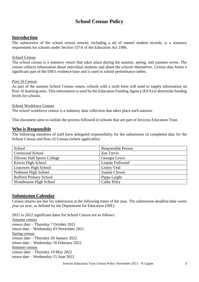## **School Census Policy**

#### <span id="page-2-0"></span>**Introduction**

The submission of the school census returns, including a set of named student records, is a statutory requirement for schools under [Section 537A of the Education Act 1996.](http://www.legislation.gov.uk/ukpga/1996/56/section/537A)

#### <span id="page-2-1"></span>School Census

The school census is a statutory return that takes place during the autumn, spring, and summer terms. The census collects information about individual students and about the schools themselves. Census data forms a significant part of the DfE's evidence base and is used in school performance tables.

#### <span id="page-2-2"></span>Post-16 Census

As part of the autumn School Census return, schools with a sixth form will need to supply information on Post-16 learning aims. This information is used by the Education Funding Agency (EFA) to determine funding levels for schools.

#### <span id="page-2-3"></span>School Workforce Census

The school workforce census is a statutory data collection that takes place each autumn.

<span id="page-2-4"></span>This document aims to outline the process followed in schools that are part of Invictus Education Trust.

#### **Who is Responsible**

The following members of staff have delegated responsibility for the submission of completed data for the School Census and Post-16 Census (where applicable):

| School                             | <b>Responsible Person</b> |
|------------------------------------|---------------------------|
| <b>Crestwood School</b>            | Zoe Trevis                |
| <b>Ellowes Hall Sports College</b> | Georgia Lewis             |
| Kinver High School                 | Leanne Fullwood           |
| Leasowes High School               | Lesley Veal               |
| Pedmore High School                | <b>Joanne Clewes</b>      |
| <b>Rufford Primary School</b>      | Pippa Laight              |
| Wombourne High School              | <b>Cathy Riley</b>        |

#### <span id="page-2-5"></span>**Submission Calendar**

Census returns are due for submission at the following times of the year. The submission deadline date varies year on year, as defined by the Department for Education (DfE)

2021 to 2022 significant dates for School Census are as follows: Autumn census census date – Thursday 7 October 2021 return date – Wednesday 03 November 2021

Spring census census date – Thursday 20 January 2022 return date – Wednesday 16 February 2022 Summer census census date – Thursday 19 May 2022

return date – Wednesday 15 June 2022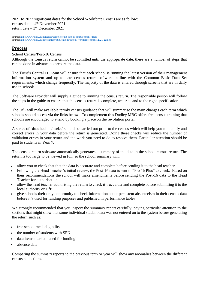2021 to 2022 significant dates for the School Workforce Census are as follow: census date  $-4$ <sup>th</sup> November 2021 return date – 3 rd December 2021

source[: https://www.gov.uk/guidance/complete-the-school-census/census-dates](https://www.gov.uk/guidance/complete-the-school-census/census-dates) source[: https://www.gov.uk/government/publications/school-workforce-census-2021-guides](https://www.gov.uk/government/publications/school-workforce-census-2021-guides)

### <span id="page-3-0"></span>**Process**

#### <span id="page-3-1"></span>School Census/Post-16 Census

Although the Census return cannot be submitted until the appropriate date, there are a number of steps that can be done in advance to prepare the data.

The Trust's Central IT Team will ensure that each school is running the latest version of their management information system and up to date census return software in line with the Common Basic Data Set requirements, which change frequently. The majority of the data is entered through screens that are in daily use in schools.

The Software Provider will supply a guide to running the census return. The responsible person will follow the steps in the guide to ensure that the census return is complete, accurate and to the right specification.

The DfE will make available termly census guidance that will summarise the main changes each term which schools should access via the links below. To complement this Dudley MBC offers free census training that schools are encouraged to attend by booking a place on the revolution portal.

A series of 'data health checks' should be carried out prior to the census which will help you to identify and correct errors in your data before the return is generated. Doing these checks will reduce the number of validation errors in your return and the work you need to do to resolve them. Particular attention should be paid to students in Year 7.

The census return software automatically generates a summary of the data in the school census return. The return is too large to be viewed in full, so the school summary will:

- allow you to check that that the data is accurate and complete before sending it to the head teacher
- Following the Head Teacher's initial review, the Post-16 data is sent to "Pro 16 Plus" to check. Based on their recommendations the school will make amendments before sending the Post-16 data to the Head Teacher for authorisation.
- allow the head teacher authorising the return to check it's accurate and complete before submitting it to the local authority or DfE
- give schools their only opportunity to check information about persistent absenteeism in their census data before it's used for funding purposes and published in performance tables

We strongly recommended that you inspect the summary report carefully, paying particular attention to the sections that might show that some individual student data was not entered on to the system before generating the return such as:

- free school meal eligibility
- the number of students with SEN
- data items marked 'used for funding'
- absence data

Comparing the summary reports to the previous term or year will show any anomalies between the different census collections.